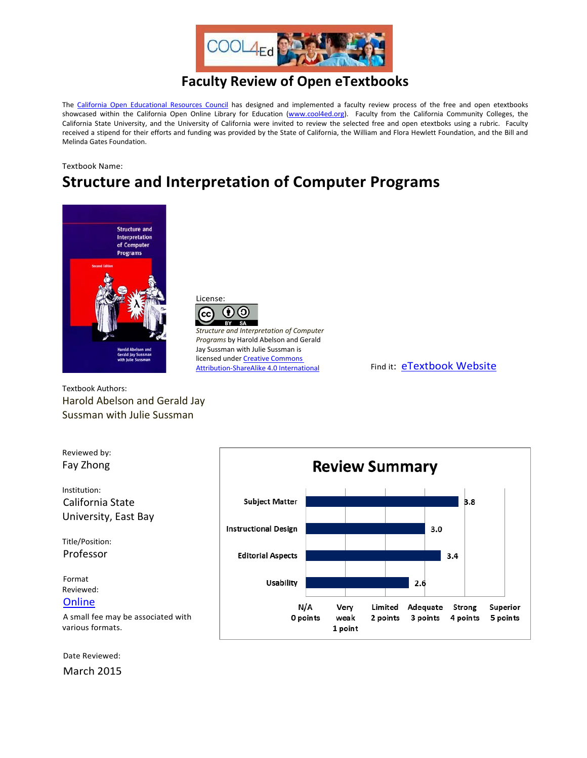

## **Faculty Review of Open eTextbooks**

The [California Open Educational Resources Council](http://icas-ca.org/coerc) has designed and implemented a faculty review process of the free and open etextbooks showcased within the California Open Online Library for Education [\(www.cool4ed.org\)](http://www.cool4ed.org/). Faculty from the California Community Colleges, the California State University, and the University of California were invited to review the selected free and open etextboks using a rubric. Faculty received a stipend for their efforts and funding was provided by the State of California, the William and Flora Hewlett Foundation, and the Bill and Melinda Gates Foundation.

#### Textbook Name:

# **Structure and Interpretation of Computer Programs**





*Structure and Interpretation of Computer Programs* by Harold Abelson and Gerald Jay Sussman with Julie Sussman is licensed under Creative Commons<br>Attribution-ShareAlike 4.0 International

Find it: [eTextbook Website](http://mitpress.mit.edu/sicp/full-text/book/book.html)

Textbook Authors: Harold Abelson and Gerald Jay Sussman with Julie Sussman



Date Reviewed:

March 2015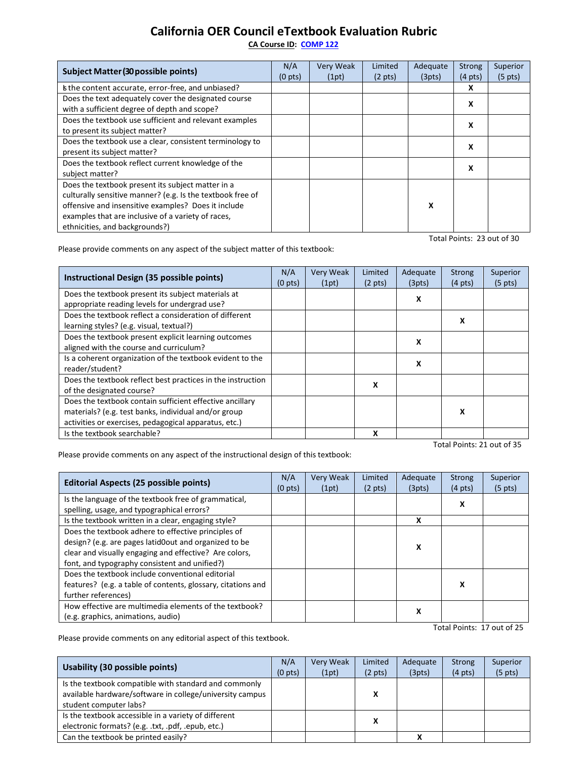### **California OER Council eTextbook Evaluation Rubric**

**[CA Course ID:](https://c-id.net/about.html) [COMP 122](https://c-id.net/descriptor_details.html?descriptor=341)**

| <b>Subject Matter (30 possible points)</b>                                                                                                                                                                                                                     | N/A<br>(0 <sub>pts</sub> ) | Very Weak<br>(1pt) | Limited<br>$(2 \text{ pts})$ | Adequate<br>(3pts) | Strong<br>$(4 \text{ pts})$ | Superior<br>$(5 \text{ pts})$ |
|----------------------------------------------------------------------------------------------------------------------------------------------------------------------------------------------------------------------------------------------------------------|----------------------------|--------------------|------------------------------|--------------------|-----------------------------|-------------------------------|
| Is the content accurate, error-free, and unbiased?                                                                                                                                                                                                             |                            |                    |                              |                    | x                           |                               |
| Does the text adequately cover the designated course<br>with a sufficient degree of depth and scope?                                                                                                                                                           |                            |                    |                              |                    | X                           |                               |
| Does the textbook use sufficient and relevant examples<br>to present its subject matter?                                                                                                                                                                       |                            |                    |                              |                    | X                           |                               |
| Does the textbook use a clear, consistent terminology to<br>present its subject matter?                                                                                                                                                                        |                            |                    |                              |                    | x                           |                               |
| Does the textbook reflect current knowledge of the<br>subject matter?                                                                                                                                                                                          |                            |                    |                              |                    | x                           |                               |
| Does the textbook present its subject matter in a<br>culturally sensitive manner? (e.g. Is the textbook free of<br>offensive and insensitive examples? Does it include<br>examples that are inclusive of a variety of races,<br>ethnicities, and backgrounds?) |                            |                    |                              | x                  |                             |                               |
| Total Points: 23 out of 30                                                                                                                                                                                                                                     |                            |                    |                              |                    |                             |                               |

Please provide comments on any aspect of the subject matter of this textbook:

| Instructional Design (35 possible points)                                                                                                                                 | N/A<br>$(0 \text{ pts})$ | <b>Very Weak</b><br>(1pt) | Limited<br>$(2 \text{ pts})$ | Adequate<br>(3pts) | <b>Strong</b><br>$(4 \text{ pts})$ | Superior<br>$(5 \text{ pts})$ |
|---------------------------------------------------------------------------------------------------------------------------------------------------------------------------|--------------------------|---------------------------|------------------------------|--------------------|------------------------------------|-------------------------------|
| Does the textbook present its subject materials at<br>appropriate reading levels for undergrad use?                                                                       |                          |                           |                              | х                  |                                    |                               |
| Does the textbook reflect a consideration of different<br>learning styles? (e.g. visual, textual?)                                                                        |                          |                           |                              |                    | х                                  |                               |
| Does the textbook present explicit learning outcomes<br>aligned with the course and curriculum?                                                                           |                          |                           |                              | x                  |                                    |                               |
| Is a coherent organization of the textbook evident to the<br>reader/student?                                                                                              |                          |                           |                              | x                  |                                    |                               |
| Does the textbook reflect best practices in the instruction<br>of the designated course?                                                                                  |                          |                           | X                            |                    |                                    |                               |
| Does the textbook contain sufficient effective ancillary<br>materials? (e.g. test banks, individual and/or group<br>activities or exercises, pedagogical apparatus, etc.) |                          |                           |                              |                    | x                                  |                               |
| Is the textbook searchable?                                                                                                                                               |                          |                           | x                            |                    |                                    |                               |

Total Points: 21 out of 35

Please provide comments on any aspect of the instructional design of this textbook:

| <b>Editorial Aspects (25 possible points)</b>                                                      | N/A<br>(0 <sub>pts</sub> ) | <b>Very Weak</b><br>(1pt) | Limited<br>$(2 \text{ pts})$ | Adequate<br>(3pts) | Strong<br>$(4 \text{ pts})$ | Superior<br>$(5 \text{ pts})$ |
|----------------------------------------------------------------------------------------------------|----------------------------|---------------------------|------------------------------|--------------------|-----------------------------|-------------------------------|
| Is the language of the textbook free of grammatical,<br>spelling, usage, and typographical errors? |                            |                           |                              |                    | x                           |                               |
| Is the textbook written in a clear, engaging style?                                                |                            |                           |                              | x                  |                             |                               |
| Does the textbook adhere to effective principles of                                                |                            |                           |                              |                    |                             |                               |
| design? (e.g. are pages latid0out and organized to be                                              |                            |                           |                              | x                  |                             |                               |
| clear and visually engaging and effective? Are colors,                                             |                            |                           |                              |                    |                             |                               |
| font, and typography consistent and unified?)                                                      |                            |                           |                              |                    |                             |                               |
| Does the textbook include conventional editorial                                                   |                            |                           |                              |                    |                             |                               |
| features? (e.g. a table of contents, glossary, citations and                                       |                            |                           |                              |                    | x                           |                               |
| further references)                                                                                |                            |                           |                              |                    |                             |                               |
| How effective are multimedia elements of the textbook?                                             |                            |                           |                              | x                  |                             |                               |
| (e.g. graphics, animations, audio)                                                                 |                            |                           |                              |                    |                             |                               |

Total Points: 17 out of 25

Please provide comments on any editorial aspect of this textbook.

| Usability (30 possible points)                                                                                                              |                     | <b>Very Weak</b> | Limited                | Adequate     | <b>Strong</b>     | Superior            |
|---------------------------------------------------------------------------------------------------------------------------------------------|---------------------|------------------|------------------------|--------------|-------------------|---------------------|
| Is the textbook compatible with standard and commonly<br>available hardware/software in college/university campus<br>student computer labs? | (0 <sub>pts</sub> ) | (1pt)            | $(2 \text{ pts})$<br>X | (3pts)       | $(4 \text{ pts})$ | (5 <sub>pts</sub> ) |
| Is the textbook accessible in a variety of different<br>electronic formats? (e.g. .txt, .pdf, .epub, etc.)                                  |                     |                  | x                      |              |                   |                     |
| Can the textbook be printed easily?                                                                                                         |                     |                  |                        | $\mathbf{v}$ |                   |                     |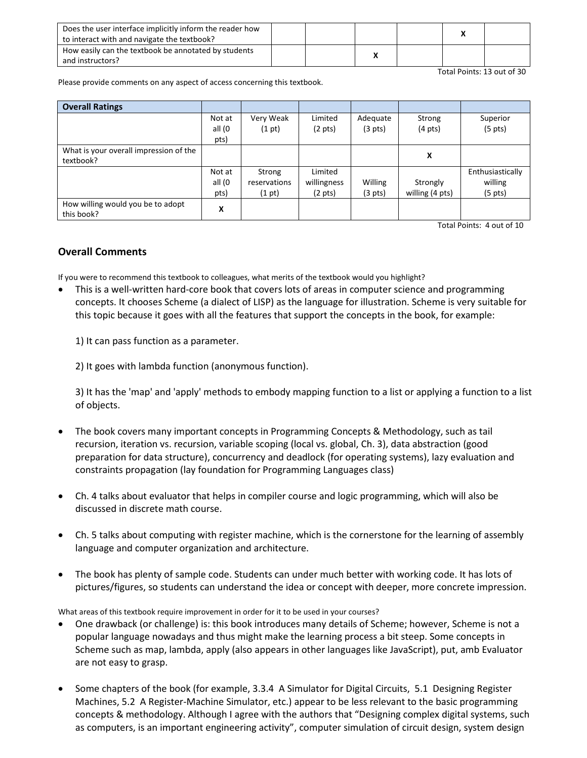| Does the user interface implicitly inform the reader how<br>to interact with and navigate the textbook? |  |  |  |
|---------------------------------------------------------------------------------------------------------|--|--|--|
| How easily can the textbook be annotated by students<br>and instructors?                                |  |  |  |

Total Points: 13 out of 30

Please provide comments on any aspect of access concerning this textbook.

| <b>Overall Ratings</b>                          |                |              |                   |                   |                   |                   |
|-------------------------------------------------|----------------|--------------|-------------------|-------------------|-------------------|-------------------|
|                                                 | Not at         | Very Weak    | Limited           | Adequate          | Strong            | Superior          |
|                                                 | all (0<br>pts) | (1 pt)       | $(2 \text{ pts})$ | $(3 \text{ pts})$ | $(4 \text{ pts})$ | $(5 \text{ pts})$ |
| What is your overall impression of the          |                |              |                   |                   |                   |                   |
| textbook?                                       |                |              |                   |                   | x                 |                   |
|                                                 | Not at         | Strong       | Limited           |                   |                   | Enthusiastically  |
|                                                 | all (0         | reservations | willingness       | Willing           | Strongly          | willing           |
|                                                 | pts)           | (1 pt)       | $(2 \text{ pts})$ | $(3 \text{ pts})$ | willing (4 pts)   | $(5 \text{ pts})$ |
| How willing would you be to adopt<br>this book? | X              |              |                   |                   |                   |                   |

Total Points: 4 out of 10

### **Overall Comments**

If you were to recommend this textbook to colleagues, what merits of the textbook would you highlight?

• This is a well-written hard-core book that covers lots of areas in computer science and programming concepts. It chooses Scheme (a dialect of LISP) as the language for illustration. Scheme is very suitable for this topic because it goes with all the features that support the concepts in the book, for example:

1) It can pass function as a parameter.

2) It goes with lambda function (anonymous function).

3) It has the 'map' and 'apply' methods to embody mapping function to a list or applying a function to a list of objects.

- The book covers many important concepts in Programming Concepts & Methodology, such as tail recursion, iteration vs. recursion, variable scoping (local vs. global, Ch. 3), data abstraction (good preparation for data structure), concurrency and deadlock (for operating systems), lazy evaluation and constraints propagation (lay foundation for Programming Languages class)
- Ch. 4 talks about evaluator that helps in compiler course and logic programming, which will also be discussed in discrete math course.
- Ch. 5 talks about computing with register machine, which is the cornerstone for the learning of assembly language and computer organization and architecture.
- The book has plenty of sample code. Students can under much better with working code. It has lots of pictures/figures, so students can understand the idea or concept with deeper, more concrete impression.

What areas of this textbook require improvement in order for it to be used in your courses?

- One drawback (or challenge) is: this book introduces many details of Scheme; however, Scheme is not a popular language nowadays and thus might make the learning process a bit steep. Some concepts in Scheme such as map, lambda, apply (also appears in other languages like JavaScript), put, amb Evaluator are not easy to grasp.
- Some chapters of the book (for example, 3.3.4 A Simulator for Digital Circuits, 5.1 Designing Register Machines, 5.2 A Register-Machine Simulator, etc.) appear to be less relevant to the basic programming concepts & methodology. Although I agree with the authors that "Designing complex digital systems, such as computers, is an important engineering activity", computer simulation of circuit design, system design